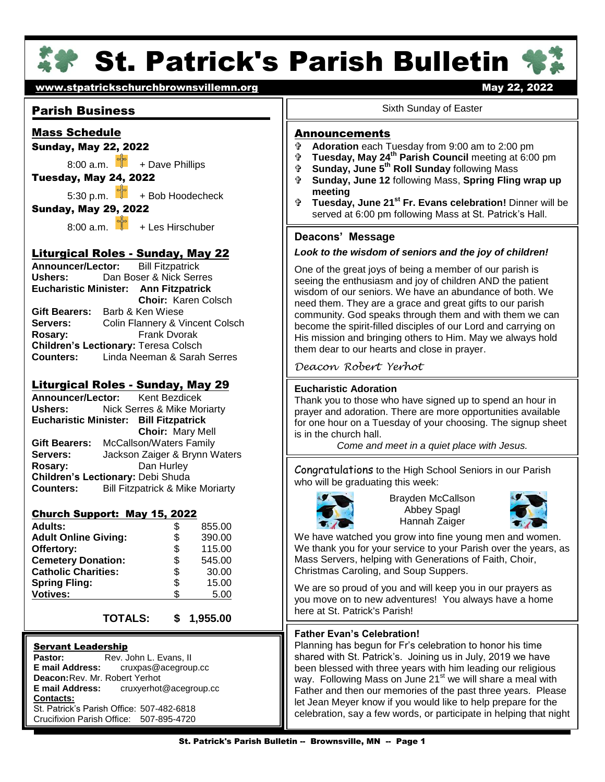

# **St. Patrick's Parish Bulletin '**

# [www.stpatrickschurchbrownsvillemn.org](http://www.stpatrickschurchbrownsvillemn.org/) example the manufacture of the May 22, 2022

# Parish Business

# Mass Schedule

## Sunday, May 22, 2022

 $8:00$  a.m.  $\frac{e^2}{1}$  + Dave Phillips

# Tuesday, May 24, 2022

5:30 p.m.  $\begin{bmatrix} 1 \\ 1 \end{bmatrix}$  + Bob Hoodecheck

## Sunday, May 29, 2022

8:00 a.m.  $\frac{1}{2}$  + Les Hirschuber

## Liturgical Roles - Sunday, May 22

Ushers: **Announcer/Lector:** Bill Fitzpatrick **Ushers:** Dan Boser & Nick Serres **Eucharistic Minister: Ann Fitzpatrick Choir:** Karen Colsch **Gift Bearers:** Barb & Ken Wiese **Servers:** Colin Flannery & Vincent Colsch **Rosary:** Frank Dvorak **Children's Lectionary:** Teresa Colsch **Counters:** Linda Neeman & Sarah Serres

# Liturgical Roles - Sunday, May 29

**Counters: Announcer/Lector:** Kent Bezdicek<br>Ushers: Nick Serres & Mike Mo **Nick Serres & Mike Moriarty Eucharistic Minister: Bill Fitzpatrick Choir:** Mary Mell **Gift Bearers:** McCallson/Waters Family<br>**Servers:** Jackson Zaiger & Brynn W **Servers:** Jackson Zaiger & Brynn Waters **Rosary:** Dan Hurley **Children's Lectionary:** Debi Shuda **Bill Fitzpatrick & Mike Moriarty** 

#### Church Support: May 15, 2022

| 390.00 |
|--------|
| 115.00 |
| 545.00 |
| 30.00  |
| 15.00  |
| 5.00   |
|        |

## **TOTALS: \$ 1,955.00**

#### Servant Leadership

**Pastor:** Rev. John L. Evans, II<br>**E mail Address:** cruxpas@acegrou **E mail Address:** cruxpas@acegroup.cc **Deacon:**Rev. Mr. Robert Yerhot **E mail Address:** cruxyerhot@acegroup.cc **Contacts:** St. Patrick's Parish Office: 507-482-6818 Crucifixion Parish Office: 507-895-4720

#### Sixth Sunday of Easter

#### **Announcements**

- <sup>⊕</sup> Adoration each Tuesday from 9:00 am to 2:00 pm<br><sup>⊕</sup> Tuesday, May 24<sup>th</sup> Parish Council meeting at 6:00
- **Tuesday, May 24th Parish Council** meeting at 6:00 pm
- **Sunday, June 5th Roll Sunday** following Mass
- **Sunday, June 12** following Mass, **Spring Fling wrap up meeting**
- **Tuesday, June 21st Fr. Evans celebration!** Dinner will be served at 6:00 pm following Mass at St. Patrick's Hall.

## **Deacons' Message**

#### *Look to the wisdom of seniors and the joy of children!*

 become the spirit-filled disciples of our Lord and carrying on One of the great joys of being a member of our parish is seeing the enthusiasm and joy of children AND the patient wisdom of our seniors. We have an abundance of both. We need them. They are a grace and great gifts to our parish community. God speaks through them and with them we can His mission and bringing others to Him. May we always hold them dear to our hearts and close in prayer.

*Deacon Robert Yerhot*

#### **Eucharistic Adoration**

Thank you to those who have signed up to spend an hour in for one hour on a Tuesday of your choosing. The signup sheet prayer and adoration. There are more opportunities available is in the church hall.

*Come and meet in a quiet place with Jesus.*

 Congratulations to the High School Seniors in our Parish who will be graduating this week:



Ī

Brayden McCallson Abbey Spagl Hannah Zaiger



We have watched you grow into fine young men and women. We thank you for your service to your Parish over the years, as Mass Servers, helping with Generations of Faith, Choir, Christmas Caroling, and Soup Suppers.

We are so proud of you and will keep you in our prayers as you move on to new adventures! You always have a home here at St. Patrick's Parish!

#### **Father Evan's Celebration!**

Planning has begun for Fr's celebration to honor his time shared with St. Patrick's. Joining us in July, 2019 we have been blessed with three years with him leading our religious way. Following Mass on June 21<sup>st</sup> we will share a meal with Father and then our memories of the past three years. Please let Jean Meyer know if you would like to help prepare for the celebration, say a few words, or participate in helping that night

.